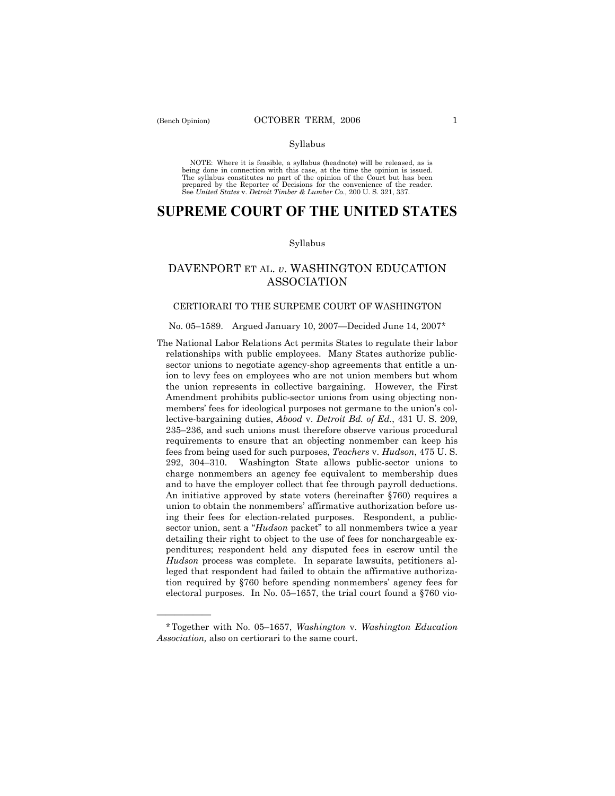#### Syllabus

NOTE: Where it is feasible, a syllabus (headnote) will be released, as is being done in connection with this case, at the time the opinion is issued. The syllabus constitutes no part of the opinion of the Court but has been<br>prepared by the Reporter of Decisions for the convenience of the reader.<br>See United States v. Detroit Timber & Lumber Co., 200 U. S. 321, 337.

# **SUPREME COURT OF THE UNITED STATES**

## Syllabus

## DAVENPORT ET AL. *v*. WASHINGTON EDUCATION ASSOCIATION

## CERTIORARI TO THE SURPEME COURT OF WASHINGTON

## No. 05-1589. Argued January 10, 2007-Decided June 14, 2007\*

The National Labor Relations Act permits States to regulate their labor relationships with public employees. Many States authorize publicsector unions to negotiate agency-shop agreements that entitle a union to levy fees on employees who are not union members but whom the union represents in collective bargaining. However, the First Amendment prohibits public-sector unions from using objecting nonmembers' fees for ideological purposes not germane to the union's collective-bargaining duties, *Abood* v. *Detroit Bd. of Ed.*, 431 U. S. 209,  $235-236$ , and such unions must therefore observe various procedural requirements to ensure that an objecting nonmember can keep his fees from being used for such purposes, *Teachers* v. *Hudson*, 475 U. S. 292, 304-310. Washington State allows public-sector unions to charge nonmembers an agency fee equivalent to membership dues and to have the employer collect that fee through payroll deductions. An initiative approved by state voters (hereinafter ß760) requires a union to obtain the nonmembers' affirmative authorization before using their fees for election-related purposes. Respondent, a publicsector union, sent a *<sup><i>Hudson* packet" to all nonmembers twice a year</sup> detailing their right to object to the use of fees for nonchargeable expenditures; respondent held any disputed fees in escrow until the *Hudson* process was complete. In separate lawsuits, petitioners alleged that respondent had failed to obtain the affirmative authorization required by ß760 before spending nonmembersí agency fees for electoral purposes. In No. 05–1657, the trial court found a  $\S760$  vio-

óóóóóó

<sup>\*</sup>Together with No. 05-1657, *Washington* v. *Washington Education Association,* also on certiorari to the same court.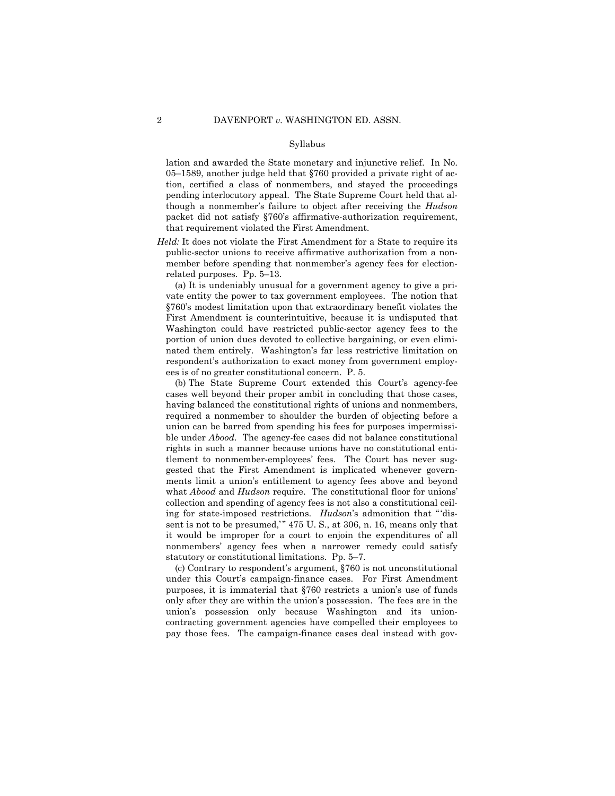#### Syllabus

lation and awarded the State monetary and injunctive relief. In No. 05–1589, another judge held that  $$760$  provided a private right of action, certified a class of nonmembers, and stayed the proceedings pending interlocutory appeal. The State Supreme Court held that although a nonmemberís failure to object after receiving the *Hudson*  packet did not satisfy §760's affirmative-authorization requirement, that requirement violated the First Amendment.

*Held:* It does not violate the First Amendment for a State to require its public-sector unions to receive affirmative authorization from a nonmember before spending that nonmember's agency fees for electionrelated purposes. Pp.  $5-13$ .

 (a) It is undeniably unusual for a government agency to give a private entity the power to tax government employees. The notion that ß760ís modest limitation upon that extraordinary benefit violates the First Amendment is counterintuitive, because it is undisputed that Washington could have restricted public-sector agency fees to the portion of union dues devoted to collective bargaining, or even eliminated them entirely. Washington's far less restrictive limitation on respondent's authorization to exact money from government employees is of no greater constitutional concern. P. 5.

(b) The State Supreme Court extended this Court's agency-fee cases well beyond their proper ambit in concluding that those cases, having balanced the constitutional rights of unions and nonmembers, required a nonmember to shoulder the burden of objecting before a union can be barred from spending his fees for purposes impermissible under *Abood.* The agency-fee cases did not balance constitutional rights in such a manner because unions have no constitutional entitlement to nonmember-employees' fees. The Court has never suggested that the First Amendment is implicated whenever governments limit a unionís entitlement to agency fees above and beyond what *Abood* and *Hudson* require. The constitutional floor for unions' collection and spending of agency fees is not also a constitutional ceiling for state-imposed restrictions. *Hudson*'s admonition that "'dissent is not to be presumed," 475 U.S., at 306, n. 16, means only that it would be improper for a court to enjoin the expenditures of all nonmembersí agency fees when a narrower remedy could satisfy statutory or constitutional limitations. Pp. 5–7.

(c) Contrary to respondent's argument,  $$760$  is not unconstitutional under this Court's campaign-finance cases. For First Amendment purposes, it is immaterial that  $$760$  restricts a union's use of funds only after they are within the union's possession. The fees are in the unionís possession only because Washington and its unioncontracting government agencies have compelled their employees to pay those fees. The campaign-finance cases deal instead with gov-